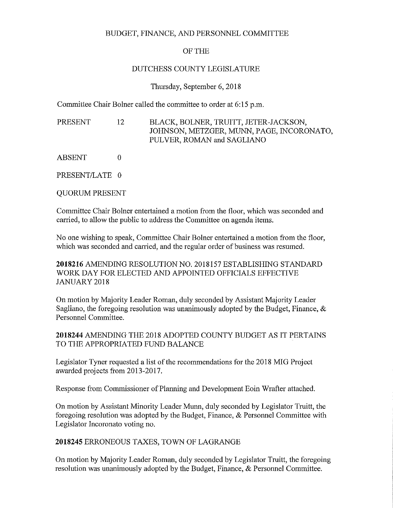### BUDGET, FINANCE, AND PERSONNEL COMMITTEE

### OF THE

## DUTCHESS COUNTY LEGISLATURE

### Thursday, September 6, 2018

Committee Chair Bolner called the committee to order at 6:15 p.m.

PRESENT 12 BLACK, BOLNER, TRUITT, JETER-JACKSON, JOHNSON, METZGER, MUNN, PAGE, INCORONATO, PULVER, ROMAN and SAGLIANO

ABSENT 0

PRESENT/LATE 0

QUORUM PRESENT

Committee Chair Bolner entertained a motion from the floor, which was seconded and carried, to allow the public to address the Committee on agenda items.

No one wishing to speak, Committee Chair Bolner entertained a motion from the floor, which was seconded and carried, and the regular order of business was resumed.

**2018216** AMENDING RESOLUTION NO. 2018157 ESTABLISHING STANDARD WORK DAY FOR ELECTED AND APPOINTED OFFICIALS EFFECTIVE JANUARY 2018

On motion by Majority Leader Roman, duly seconded by Assistant Majority Leader Sagliano, the foregoing resolution was unanimously adopted by the Budget, Finance, & Personnel Committee.

**2018244** AMENDING THE 2018 ADOPTED COUNTY BUDGET AS IT PERTAINS TO THE APPROPRIATED FUND BALANCE

Legislator Tyner requested a list of the recommendations for the 2018 MIG Project awarded projects from 2013-2017.

Response from Commissioner of Planning and Development Eoin Wrafter attached.

On motion by Assistant Minority Leader Munn, duly seconded by Legislator Truitt, the foregoing resolution was adopted by the Budget, Finance, & Personnel Committee with Legislator Incoronato voting no.

**2018245** ERRONEOUS TAXES, TOWN OF LAGRANGE

On motion by Majority Leader Roman, duly seconded by Legislator Truitt, the foregoing resolution was unanimously adopted by the Budget, Finance, & Personnel Committee.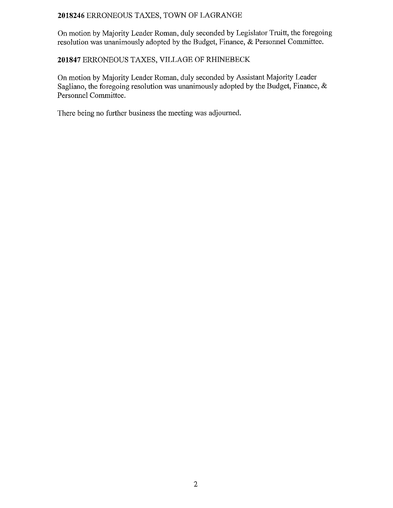## 2018246 ERRONEOUS TAXES, TOWN OF LAGRANGE

On motion by Majority Leader Roman, duly seconded by Legislator Truitt, the foregoing resolution was unanimously adopted by the Budget, Finance, & Personnel Committee.

### 201847 ERRONEOUS TAXES, VILLAGE OF RHINEBECK

On motion by Majority Leader Roman, duly seconded by Assistant Majority Leader Sagliano, the foregoing resolution was unanimously adopted by the Budget, Finance, & Personnel Committee.

There being no further business the meeting was adjourned.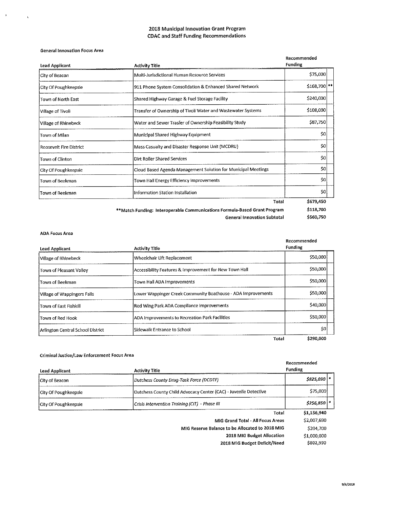#### **2018 Municipal Innovation Grant Program CDAC and Staff Funding Recommendations**

#### General Innovation Focus Area

 $\mathcal{A} \subset \mathcal{A}$ 

 $\bar{\mathbf{v}}$ 

| Lead Applicant                 | <b>Activity Title</b>                                                     | Recommended<br><b>Funding</b> |
|--------------------------------|---------------------------------------------------------------------------|-------------------------------|
| City of Beacon                 | Multi-Jurisdictional Human Resource Services                              | \$75,000                      |
| City Of Poughkeepsie           | 911 Phone System Consolidation & Enhanced Shared Network                  | \$168,700   **                |
| Town of North East             | Shared Highway Garage & Fuel Storage Facility                             | \$240,000                     |
| Village of Tivoli              | Transfer of Ownership of Tivoli Water and Wastewater Systems              | \$108,000                     |
| Village of Rhinebeck           | Water and Sewer Trasfer of Ownership Feasibility Study                    | \$87,750                      |
| Town of Milan                  | Municipal Shared Highway Equipment                                        | \$0                           |
| <b>Roosevelt Fire District</b> | Mass Casualty and Disaster Response Unit (MCDRU)                          | \$0                           |
| Town of Clinton                | Dirt Roller Shared Services                                               | \$0                           |
| City Of Poughkeepsie           | Cloud Based Agenda Management Solution for Municipal Meetings             | \$0                           |
| Town of Beekman                | Town Hall Energy Efficiency Improvements                                  | \$0                           |
| Town of Beekman                | Information Station Installation                                          | \$0                           |
|                                | Total                                                                     | \$679,450                     |
|                                | **Match Funding: Interoperable Communications Formula-Based Grant Program | \$118.700                     |
|                                | <b>General Innovation Subtotal</b>                                        | \$560,750                     |

#### ADA Focus Area

| Lead Applicant                    | <b>Activity Title</b>                                        | Recommended<br><b>Funding</b> |
|-----------------------------------|--------------------------------------------------------------|-------------------------------|
| Village of Rhinebeck              | Wheelchair Lift Replacement                                  | \$50,000                      |
| Town of Pleasant Valley           | Accessibility Features & Improvement for New Town Hall       | \$50,000                      |
| Town of Beekman                   | Town Hall ADA Improvements                                   | \$50,000                      |
| Village of Wappingers Falls       | Lower Wappinger Creek Community Boathouse - ADA Improvements | \$50,000                      |
| Town of East Fishkill             | Red Wing Park ADA Compliance Improvements                    | \$40,000                      |
| Town of Red Hook                  | ADA Improvements to Recreation Park Facilities               | \$50,000                      |
| Arlington Central School District | Sidewalk Entrance to School                                  | SO                            |
|                                   | Total                                                        | \$290,000                     |

#### Criminal Justice/Law Enforcement Focus Area

| Lead Applicant       | <b>Activity Title</b>                                            | Recommended<br><b>Funding</b> |
|----------------------|------------------------------------------------------------------|-------------------------------|
| City of Beacon       | Dutchess County Drug-Task Force (DCDTF)                          | \$825,090   *                 |
| City Of Poughkeepsie | Dutchess County Child Advocacy Center (CAC) - Juvenile Detective | \$75,000                      |
| City Of Poughkeepsie | Crisis Intervention Training (CIT) - Phase III                   | $$256,850$ $*$                |
|                      | Total                                                            | \$1,156,940                   |
|                      | MIG Grand Total - All Focus Areas                                | \$2,007,690                   |
|                      | MIG Reserve Balance to be Allocated to 2018 MIG                  | \$204.700                     |
|                      | 2018 MIG Budget Allocation                                       | \$1,000,000                   |
|                      | 2018 MIG Budget Deficit/Need                                     | \$802,990                     |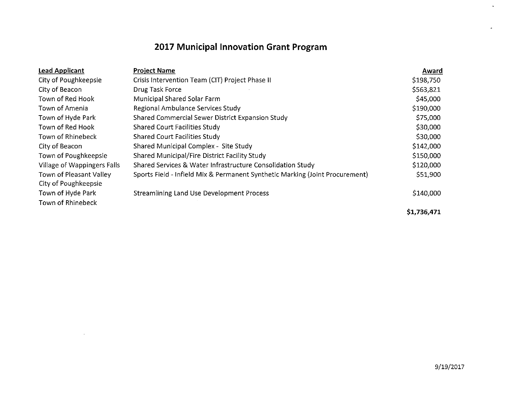# **2017 Municipal Innovation Grant Program**

| <b>Lead Applicant</b>       | <b>Project Name</b>                                                          | Award       |
|-----------------------------|------------------------------------------------------------------------------|-------------|
| City of Poughkeepsie        | Crisis Intervention Team (CIT) Project Phase II                              | \$198,750   |
| City of Beacon              | Drug Task Force                                                              | \$563,821   |
| Town of Red Hook            | Municipal Shared Solar Farm                                                  | \$45,000    |
| Town of Amenia              | Regional Ambulance Services Study                                            | \$190,000   |
| Town of Hyde Park           | Shared Commercial Sewer District Expansion Study                             | \$75,000    |
| Town of Red Hook            | <b>Shared Court Facilities Study</b>                                         | \$30,000    |
| Town of Rhinebeck           | <b>Shared Court Facilities Study</b>                                         | \$30,000    |
| City of Beacon              | Shared Municipal Complex - Site Study                                        | \$142,000   |
| Town of Poughkeepsie        | Shared Municipal/Fire District Facility Study                                | \$150,000   |
| Village of Wappingers Falls | Shared Services & Water Infrastructure Consolidation Study                   | \$120,000   |
| Town of Pleasant Valley     | Sports Field - Infield Mix & Permanent Synthetic Marking (Joint Procurement) | \$51,900    |
| City of Poughkeepsie        |                                                                              |             |
| Town of Hyde Park           | <b>Streamlining Land Use Development Process</b>                             | \$140,000   |
| Town of Rhinebeck           |                                                                              |             |
|                             |                                                                              | \$1,736,471 |

 $\mathcal{L}(\mathcal{L}^{\mathcal{L}})$  and  $\mathcal{L}(\mathcal{L}^{\mathcal{L}})$  .

 $\mathcal{L}^{\pm}$ 

L.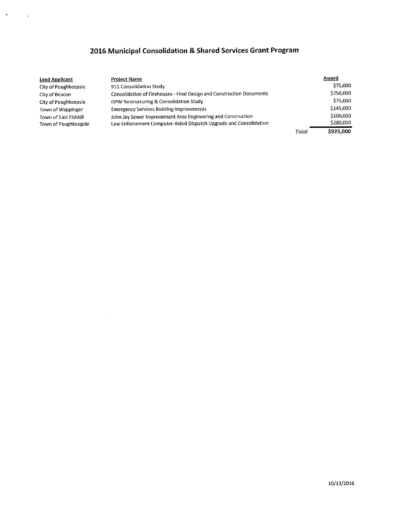## **<sup>2016</sup> Municipal Consolidation & Shared Services Grant Program**

 $\langle \mathbf{u} \rangle$ 

 $\sim$   $\sim$ 

| Lead Applicant        | <b>Project Name</b>                                                   |       | Award     |
|-----------------------|-----------------------------------------------------------------------|-------|-----------|
| City of Poughkeepsie  | 911 Consolidation Study                                               |       | \$75,000  |
| City of Beacon        | Consolidation of Firehouses - Final Design and Construction Documents |       | \$250,000 |
| City of Poughkeepsie  | DPW Restructuring & Consolidation Study                               |       | \$75,000  |
| Town of Wappinger     | <b>Emergency Services Building Improvements</b>                       |       | \$145,000 |
| Town of East Fishkill | John Jay Sewer Improvement Area Engineering and Construction          |       | \$100,000 |
| Town of Poughkeepsie  | Law Enforcement Computer-Aided Dispatch Upgrade and Consolidation     |       | \$280,000 |
|                       |                                                                       | Total | \$925,000 |

 $\sim 200$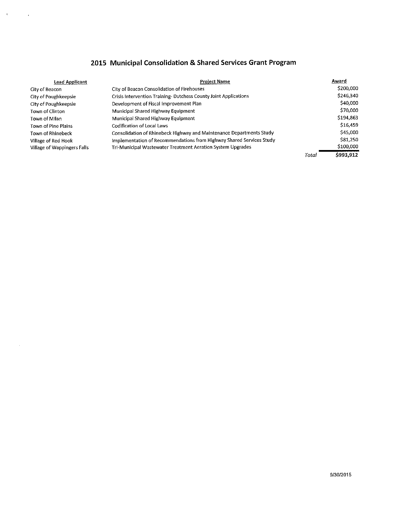## **<sup>2015</sup> Municipal Consolidation & Shared Services Grant Program**

 $\theta$ 

 $\bar{z}$ 

 $\sim$ 

| <b>Lead Applicant</b>       | <b>Project Name</b>                                                  |       | Award     |
|-----------------------------|----------------------------------------------------------------------|-------|-----------|
| City of Beacon              | City of Beacon Consolidation of Firehouses                           |       | \$200,000 |
| City of Poughkeepsie        | Crisis Intervention Training-Dutchess County Joint Applications      |       | \$246,340 |
| City of Poughkeepsie        | Development of Fiscal Improvement Plan                               |       | \$40,000  |
| Town of Clinton             | Municipal Shared Highway Equipment                                   |       | \$70,000  |
| Town of Milan               | Municipal Shared Highway Equipment                                   |       | \$194,863 |
| Town of Pine Plains         | Codification of Local Laws                                           |       | S16,459   |
| Town of Rhinebeck           | Consolidation of Rhinebeck Highway and Maintenance Departments Study |       | \$45,000  |
| Village of Red Hook         | Implementation of Recommendations from Highway Shared Services Study |       | \$81,250  |
| Village of Wappingers Falls | Tri-Municipal Wastewater Treatment Aeration System Upgrades          |       | \$100,000 |
|                             |                                                                      | Total | \$993.912 |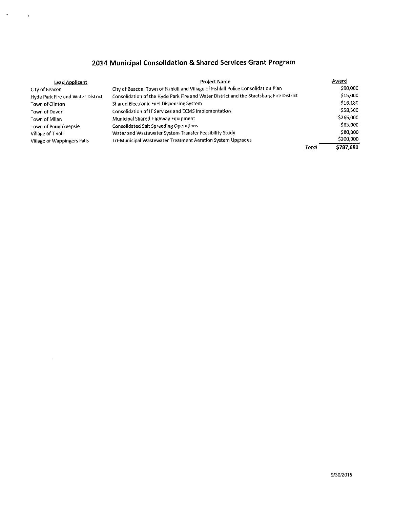## **<sup>2014</sup> Municipal Consolidation & Shared Services Grant Program**

 $\sigma$ 

 $\sim$   $\sim$ 

| Lead Applicant                    | <b>Project Name</b>                                                                     |       | Award     |
|-----------------------------------|-----------------------------------------------------------------------------------------|-------|-----------|
| City of Beacon                    | City of Beacon, Town of Fishkill and Village of Fishkill Police Consolidation Plan      |       | \$90,000  |
| Hyde Park Fire and Water District | Consolidation of the Hyde Park Fire and Water District and the Staatsburg Fire District |       | \$15,000  |
| Town of Clinton                   | Shared Electronic Fuel Dispensing System                                                |       | \$16,180  |
| Town of Dover                     | Consolidation of IT Services and ECMS Implementation                                    |       | \$58,500  |
| Town of Milan                     | Municipal Shared Highway Equipment                                                      |       | \$265,000 |
| Town of Poughkeepsie              | <b>Consolidated Salt Spreading Operations</b>                                           |       | \$63,000  |
| Village of Tivoli                 | Water and Wastewater System Transfer Feasibility Study                                  |       | \$80,000  |
| Village of Wappingers Falls       | Tri-Municipal Wastewater Treatment Aeration System Upgrades                             |       | \$200,000 |
|                                   |                                                                                         | Total | \$787,680 |